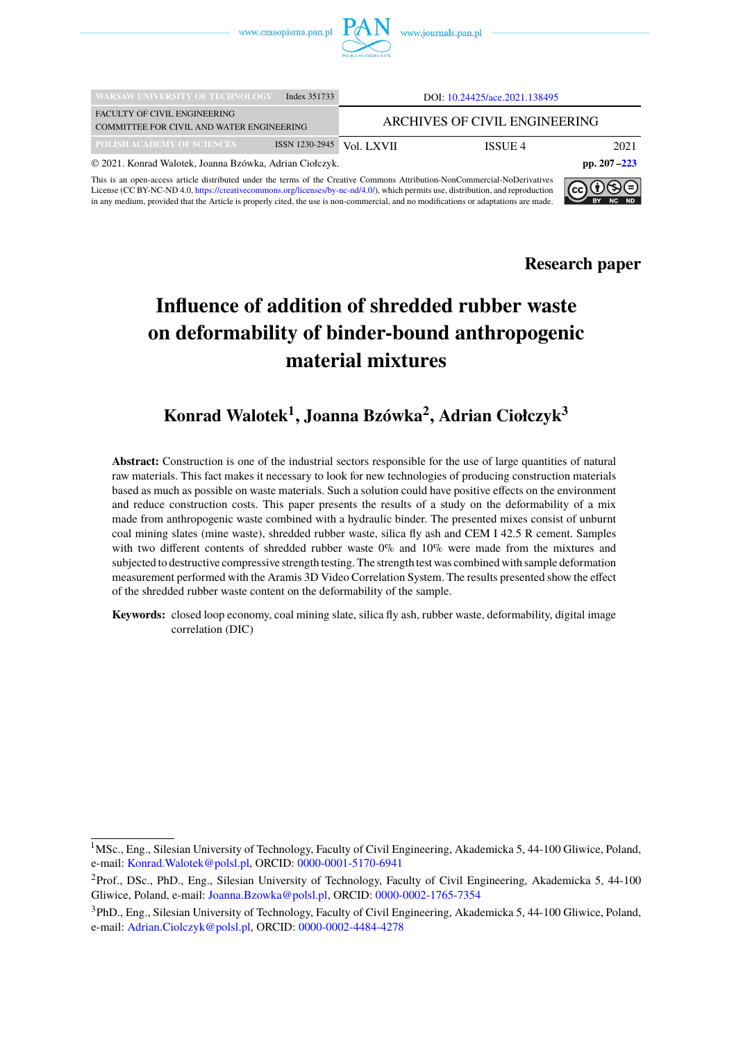

| <b>WARSAW UNIVERSITY OF TECHNOLOGY</b>                  | Index 351733   | DOI: 10.24425/ace.2021.138495 |         |                 |  |
|---------------------------------------------------------|----------------|-------------------------------|---------|-----------------|--|
| <b>FACULTY OF CIVIL ENGINEERING</b>                     |                | ARCHIVES OF CIVIL ENGINEERING |         |                 |  |
| COMMITTEE FOR CIVIL AND WATER ENGINEERING               |                |                               |         |                 |  |
| POLISH ACADEMY OF SCIENCES                              | ISSN 1230-2945 | Vol. LXVII                    | ISSUE 4 | 2021            |  |
| © 2021. Konrad Walotek, Joanna Bzówka, Adrian Ciołczyk. |                |                               |         | pp. $207 - 223$ |  |

This is an open-access article distributed under the terms of the Creative Commons Attribution-NonCommercial-NoDerivatives License (CC BY-NC-ND 4.0, [https://creativecommons.org/licenses/by-nc-nd/4.0/\)](https://creativecommons.org/licenses/by-nc-nd/4.0/), which permits use, distribution, and reproduction in any medium, provided that the Article is properly cited, the use is non-commercial, and no modifications or adaptations are made.



## **Research paper**

# **Influence of addition of shredded rubber waste on deformability of binder-bound anthropogenic material mixtures**

# **Konrad Walotek<sup>1</sup> , Joanna Bzówka<sup>2</sup> , Adrian Ciołczyk<sup>3</sup>**

**Abstract:** Construction is one of the industrial sectors responsible for the use of large quantities of natural raw materials. This fact makes it necessary to look for new technologies of producing construction materials based as much as possible on waste materials. Such a solution could have positive effects on the environment and reduce construction costs. This paper presents the results of a study on the deformability of a mix made from anthropogenic waste combined with a hydraulic binder. The presented mixes consist of unburnt coal mining slates (mine waste), shredded rubber waste, silica fly ash and CEM I 42.5 R cement. Samples with two different contents of shredded rubber waste 0% and 10% were made from the mixtures and subjected to destructive compressive strength testing. The strength test was combined with sample deformation measurement performed with the Aramis 3D Video Correlation System. The results presented show the effect of the shredded rubber waste content on the deformability of the sample.

**Keywords:** closed loop economy, coal mining slate, silica fly ash, rubber waste, deformability, digital image correlation (DIC)

<sup>&</sup>lt;sup>1</sup>MSc., Eng., Silesian University of Technology, Faculty of Civil Engineering, Akademicka 5, 44-100 Gliwice, Poland, e-mail: [Konrad.Walotek@polsl.pl,](mailto:Konrad.Walotek@polsl.pl) ORCID: [0000-0001-5170-6941](https://orcid.org/0000-0001-5170-6941)

<sup>2</sup>Prof., DSc., PhD., Eng., Silesian University of Technology, Faculty of Civil Engineering, Akademicka 5, 44-100 Gliwice, Poland, e-mail: [Joanna.Bzowka@polsl.pl,](mailto:Joanna.Bzowka@polsl.pl) ORCID: [0000-0002-1765-7354](https://orcid.org/0000-0002-1765-7354)

<sup>3</sup>PhD., Eng., Silesian University of Technology, Faculty of Civil Engineering, Akademicka 5, 44-100 Gliwice, Poland, e-mail: [Adrian.Ciolczyk@polsl.pl,](mailto:Adrian.Ciolczyk@polsl.pl) ORCID: [0000-0002-4484-4278](https://orcid.org/0000-0002-4484-4278)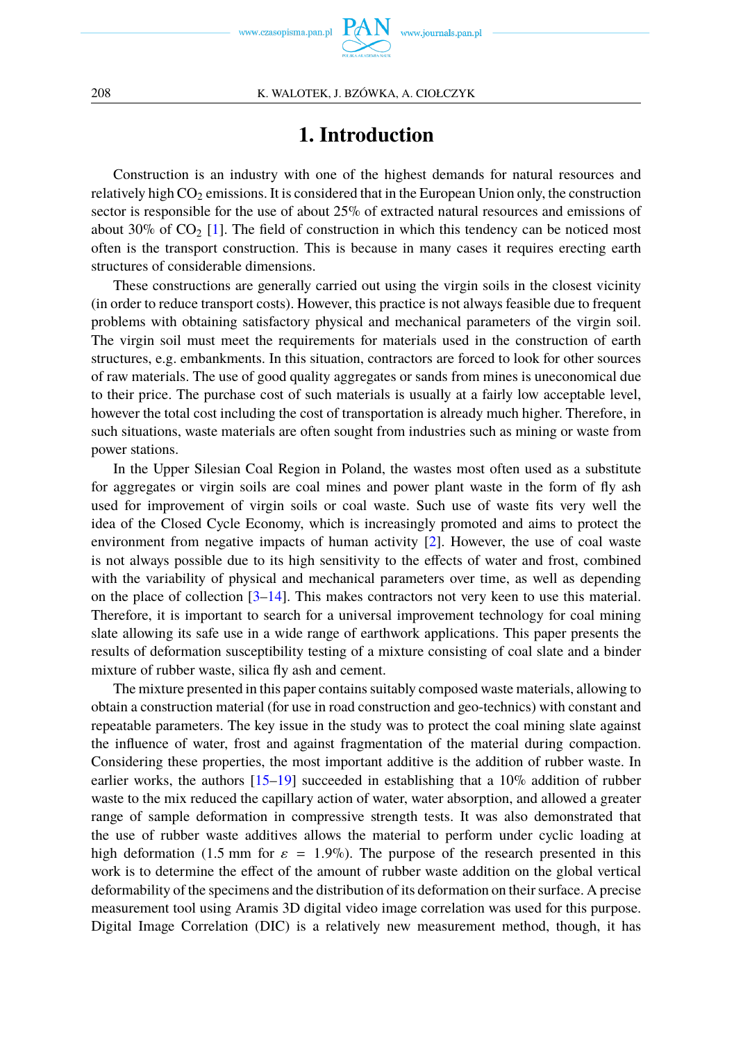# **1. Introduction**

Construction is an industry with one of the highest demands for natural resources and relatively high  $CO<sub>2</sub>$  emissions. It is considered that in the European Union only, the construction sector is responsible for the use of about 25% of extracted natural resources and emissions of about 30% of  $CO<sub>2</sub>$  [\[1\]](#page-14-0). The field of construction in which this tendency can be noticed most often is the transport construction. This is because in many cases it requires erecting earth structures of considerable dimensions.

These constructions are generally carried out using the virgin soils in the closest vicinity (in order to reduce transport costs). However, this practice is not always feasible due to frequent problems with obtaining satisfactory physical and mechanical parameters of the virgin soil. The virgin soil must meet the requirements for materials used in the construction of earth structures, e.g. embankments. In this situation, contractors are forced to look for other sources of raw materials. The use of good quality aggregates or sands from mines is uneconomical due to their price. The purchase cost of such materials is usually at a fairly low acceptable level, however the total cost including the cost of transportation is already much higher. Therefore, in such situations, waste materials are often sought from industries such as mining or waste from power stations.

In the Upper Silesian Coal Region in Poland, the wastes most often used as a substitute for aggregates or virgin soils are coal mines and power plant waste in the form of fly ash used for improvement of virgin soils or coal waste. Such use of waste fits very well the idea of the Closed Cycle Economy, which is increasingly promoted and aims to protect the environment from negative impacts of human activity [\[2\]](#page-14-1). However, the use of coal waste is not always possible due to its high sensitivity to the effects of water and frost, combined with the variability of physical and mechanical parameters over time, as well as depending on the place of collection  $[3-14]$  $[3-14]$ . This makes contractors not very keen to use this material. Therefore, it is important to search for a universal improvement technology for coal mining slate allowing its safe use in a wide range of earthwork applications. This paper presents the results of deformation susceptibility testing of a mixture consisting of coal slate and a binder mixture of rubber waste, silica fly ash and cement.

The mixture presented in this paper contains suitably composed waste materials, allowing to obtain a construction material (for use in road construction and geo-technics) with constant and repeatable parameters. The key issue in the study was to protect the coal mining slate against the influence of water, frost and against fragmentation of the material during compaction. Considering these properties, the most important additive is the addition of rubber waste. In earlier works, the authors  $[15-19]$  $[15-19]$  succeeded in establishing that a 10% addition of rubber waste to the mix reduced the capillary action of water, water absorption, and allowed a greater range of sample deformation in compressive strength tests. It was also demonstrated that the use of rubber waste additives allows the material to perform under cyclic loading at high deformation (1.5 mm for  $\varepsilon = 1.9\%$ ). The purpose of the research presented in this work is to determine the effect of the amount of rubber waste addition on the global vertical deformability of the specimens and the distribution of its deformation on their surface. A precise measurement tool using Aramis 3D digital video image correlation was used for this purpose. Digital Image Correlation (DIC) is a relatively new measurement method, though, it has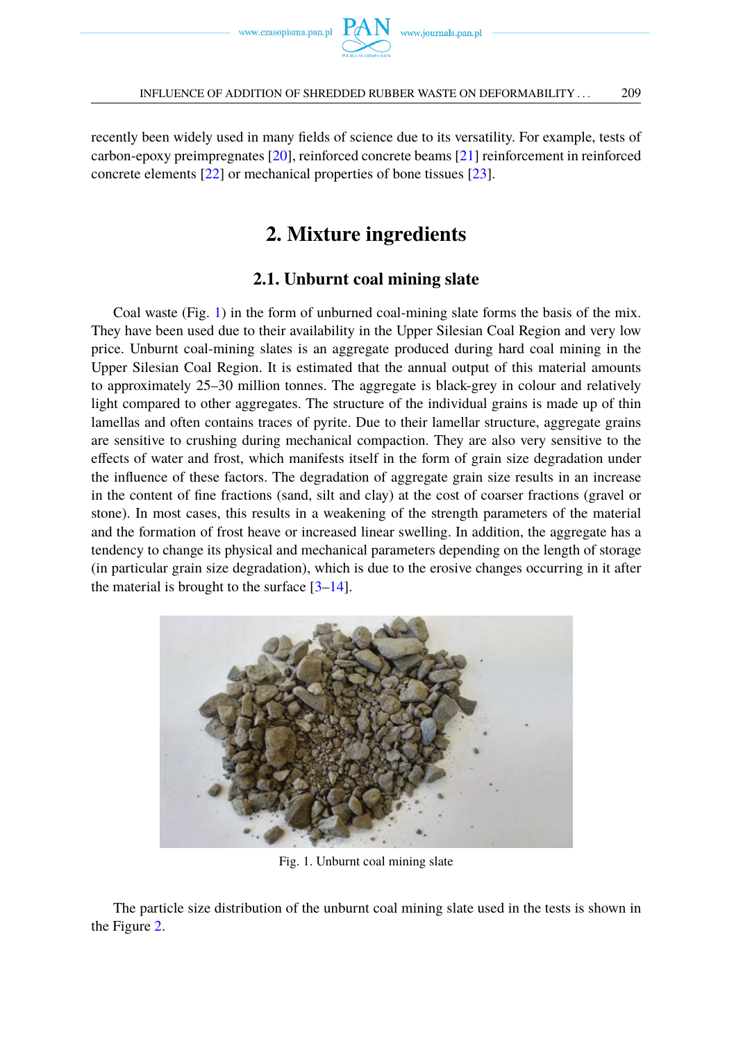

recently been widely used in many fields of science due to its versatility. For example, tests of carbon-epoxy preimpregnates [\[20\]](#page-15-1), reinforced concrete beams [\[21\]](#page-15-2) reinforcement in reinforced concrete elements [\[22\]](#page-15-3) or mechanical properties of bone tissues [\[23\]](#page-15-4).

# **2. Mixture ingredients**

### **2.1. Unburnt coal mining slate**

Coal waste (Fig. [1\)](#page-2-0) in the form of unburned coal-mining slate forms the basis of the mix. They have been used due to their availability in the Upper Silesian Coal Region and very low price. Unburnt coal-mining slates is an aggregate produced during hard coal mining in the Upper Silesian Coal Region. It is estimated that the annual output of this material amounts to approximately 25–30 million tonnes. The aggregate is black-grey in colour and relatively light compared to other aggregates. The structure of the individual grains is made up of thin lamellas and often contains traces of pyrite. Due to their lamellar structure, aggregate grains are sensitive to crushing during mechanical compaction. They are also very sensitive to the effects of water and frost, which manifests itself in the form of grain size degradation under the influence of these factors. The degradation of aggregate grain size results in an increase in the content of fine fractions (sand, silt and clay) at the cost of coarser fractions (gravel or stone). In most cases, this results in a weakening of the strength parameters of the material and the formation of frost heave or increased linear swelling. In addition, the aggregate has a tendency to change its physical and mechanical parameters depending on the length of storage (in particular grain size degradation), which is due to the erosive changes occurring in it after the material is brought to the surface  $[3-14]$  $[3-14]$ .

<span id="page-2-0"></span>

Fig. 1. Unburnt coal mining slate

The particle size distribution of the unburnt coal mining slate used in the tests is shown in the Figure [2.](#page-3-0)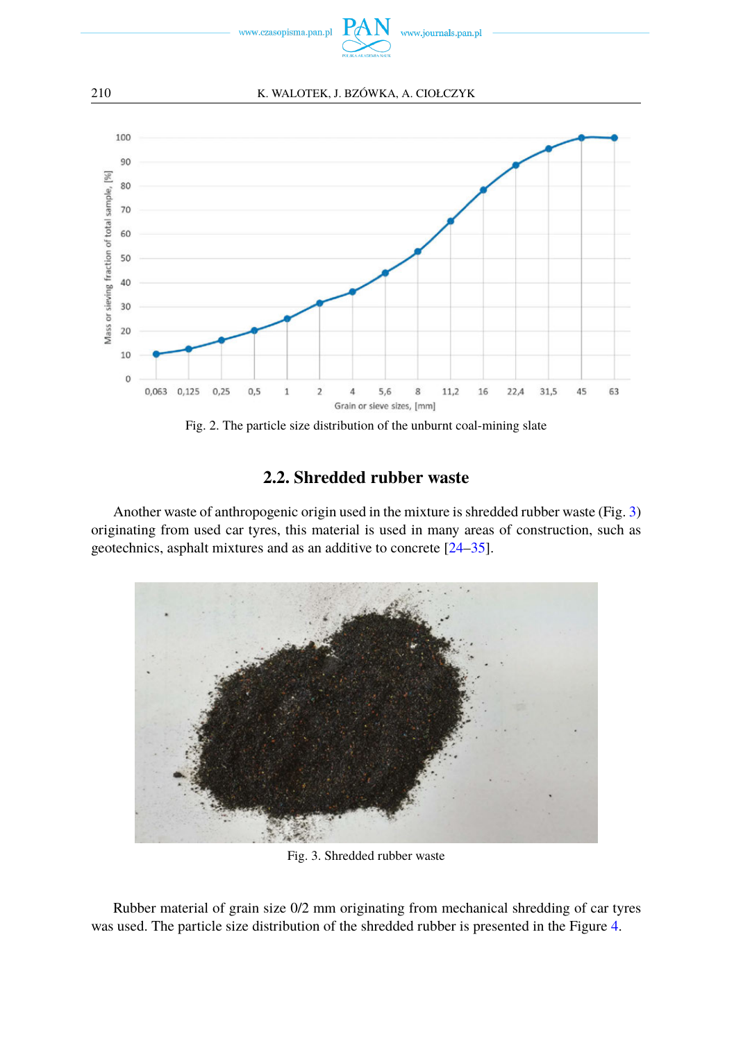

<span id="page-3-0"></span>

Fig. 2. The particle size distribution of the unburnt coal-mining slate

## **2.2. Shredded rubber waste**

Another waste of anthropogenic origin used in the mixture is shredded rubber waste (Fig. [3\)](#page-3-1) originating from used car tyres, this material is used in many areas of construction, such as geotechnics, asphalt mixtures and as an additive to concrete [\[24](#page-15-5)[–35\]](#page-15-6).

<span id="page-3-1"></span>

Fig. 3. Shredded rubber waste

Rubber material of grain size 0/2 mm originating from mechanical shredding of car tyres was used. The particle size distribution of the shredded rubber is presented in the Figure [4.](#page-4-0)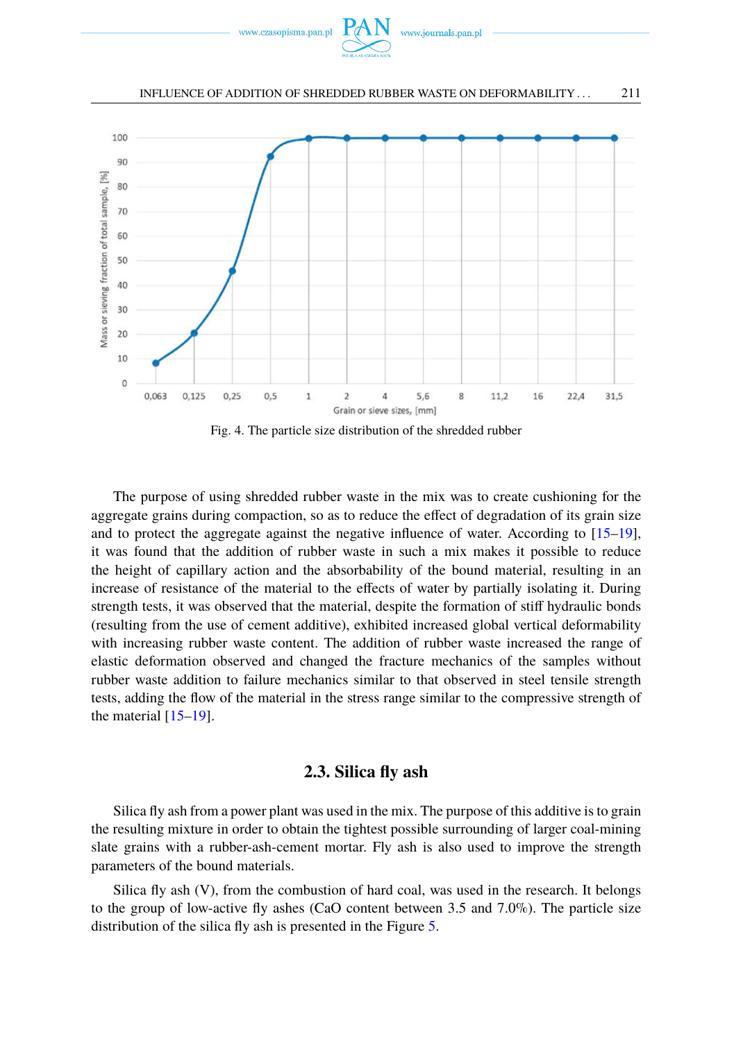

<span id="page-4-0"></span>

Fig. 4. The particle size distribution of the shredded rubber

The purpose of using shredded rubber waste in the mix was to create cushioning for the aggregate grains during compaction, so as to reduce the effect of degradation of its grain size and to protect the aggregate against the negative influence of water. According to [\[15](#page-14-4)[–19\]](#page-15-0), it was found that the addition of rubber waste in such a mix makes it possible to reduce the height of capillary action and the absorbability of the bound material, resulting in an increase of resistance of the material to the effects of water by partially isolating it. During strength tests, it was observed that the material, despite the formation of stiff hydraulic bonds (resulting from the use of cement additive), exhibited increased global vertical deformability with increasing rubber waste content. The addition of rubber waste increased the range of elastic deformation observed and changed the fracture mechanics of the samples without rubber waste addition to failure mechanics similar to that observed in steel tensile strength tests, adding the flow of the material in the stress range similar to the compressive strength of the material [\[15](#page-14-4)[–19\]](#page-15-0).

### **2.3. Silica fly ash**

Silica fly ash from a power plant was used in the mix. The purpose of this additive is to grain the resulting mixture in order to obtain the tightest possible surrounding of larger coal-mining slate grains with a rubber-ash-cement mortar. Fly ash is also used to improve the strength parameters of the bound materials.

Silica fly ash (V), from the combustion of hard coal, was used in the research. It belongs to the group of low-active fly ashes (CaO content between 3.5 and 7.0%). The particle size distribution of the silica fly ash is presented in the Figure [5.](#page-5-0)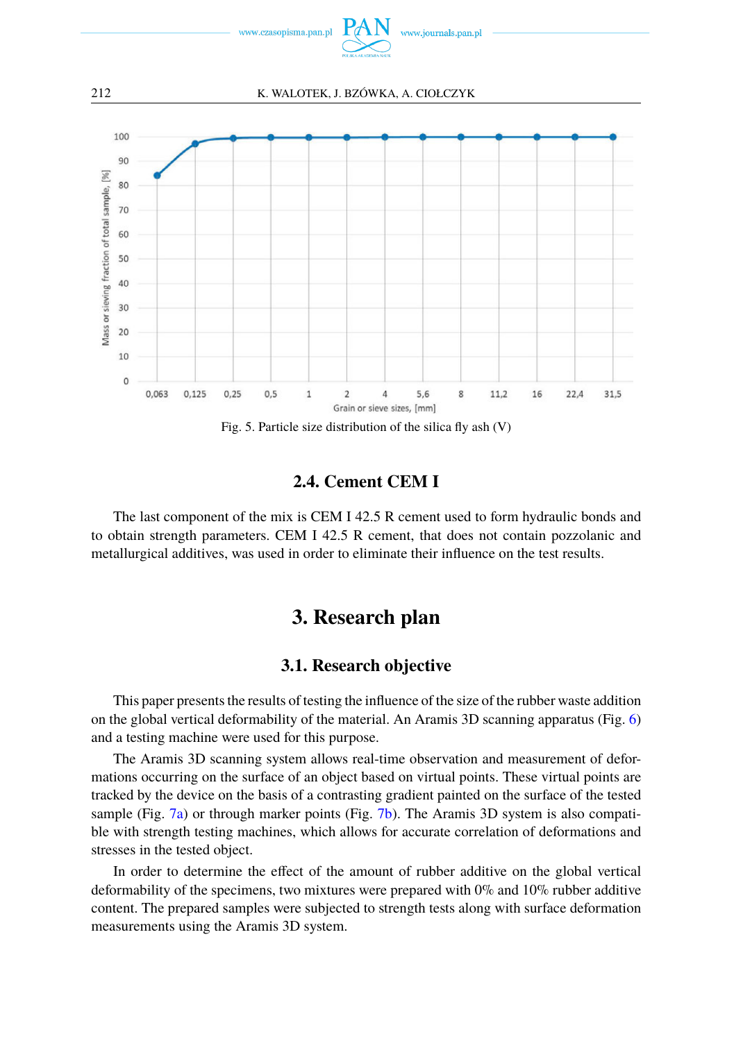

<span id="page-5-0"></span>

Fig. 5. Particle size distribution of the silica fly ash (V)

### **2.4. Cement CEM I**

The last component of the mix is CEM I 42.5 R cement used to form hydraulic bonds and to obtain strength parameters. CEM I 42.5 R cement, that does not contain pozzolanic and metallurgical additives, was used in order to eliminate their influence on the test results.

## **3. Research plan**

### **3.1. Research objective**

This paper presents the results of testing the influence of the size of the rubber waste addition on the global vertical deformability of the material. An Aramis 3D scanning apparatus (Fig. [6\)](#page-6-0) and a testing machine were used for this purpose.

The Aramis 3D scanning system allows real-time observation and measurement of deformations occurring on the surface of an object based on virtual points. These virtual points are tracked by the device on the basis of a contrasting gradient painted on the surface of the tested sample (Fig. [7a\)](#page-6-0) or through marker points (Fig. [7b\)](#page-6-0). The Aramis 3D system is also compatible with strength testing machines, which allows for accurate correlation of deformations and stresses in the tested object.

In order to determine the effect of the amount of rubber additive on the global vertical deformability of the specimens, two mixtures were prepared with 0% and 10% rubber additive content. The prepared samples were subjected to strength tests along with surface deformation measurements using the Aramis 3D system.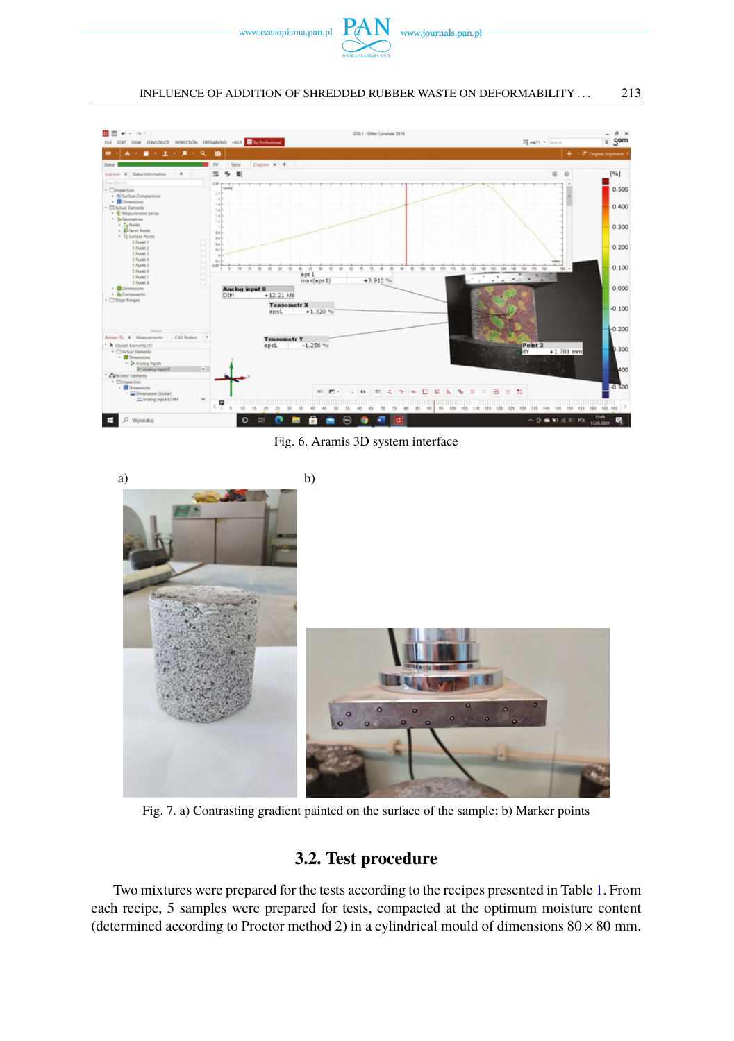

<span id="page-6-0"></span>

Fig. 6. Aramis 3D system interface



Fig. 7. a) Contrasting gradient painted on the surface of the sample; b) Marker points

## **3.2. Test procedure**

Two mixtures were prepared for the tests according to the recipes presented in Table [1.](#page-7-0) From each recipe, 5 samples were prepared for tests, compacted at the optimum moisture content (determined according to Proctor method 2) in a cylindrical mould of dimensions  $80 \times 80$  mm.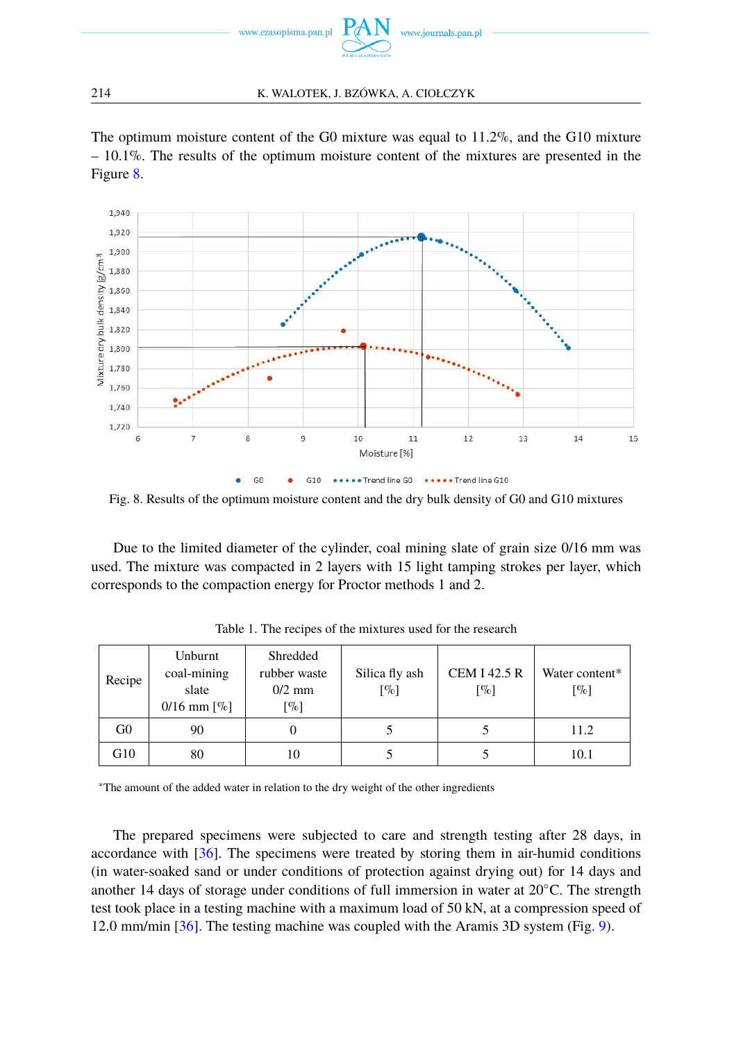

The optimum moisture content of the G0 mixture was equal to  $11.2\%$ , and the G10 mixture – 10.1%. The results of the optimum moisture content of the mixtures are presented in the Figure [8.](#page-7-1)

<span id="page-7-1"></span>

Fig. 8. Results of the optimum moisture content and the dry bulk density of G0 and G10 mixtures

Due to the limited diameter of the cylinder, coal mining slate of grain size 0/16 mm was used. The mixture was compacted in 2 layers with 15 light tamping strokes per layer, which corresponds to the compaction energy for Proctor methods 1 and 2.

<span id="page-7-0"></span>

| Recipe         | Unburnt<br>coal-mining<br>slate<br>$0/16$ mm $\lceil\% \rceil$ | Shredded<br>rubber waste<br>$0/2$ mm<br>$\lceil \% \rceil$ | Silica fly ash<br>$\lceil \% \rceil$ | <b>CEM I 42.5 R</b><br>$\lceil \% \rceil$ | Water content*<br>$\lceil \% \rceil$ |
|----------------|----------------------------------------------------------------|------------------------------------------------------------|--------------------------------------|-------------------------------------------|--------------------------------------|
| G <sub>0</sub> | 90                                                             |                                                            |                                      |                                           | 11.2                                 |
| G10            | 80                                                             | 10                                                         |                                      |                                           | 10.1                                 |

Table 1. The recipes of the mixtures used for the research

<sup>∗</sup>The amount of the added water in relation to the dry weight of the other ingredients

The prepared specimens were subjected to care and strength testing after 28 days, in accordance with [\[36\]](#page-15-7). The specimens were treated by storing them in air-humid conditions (in water-soaked sand or under conditions of protection against drying out) for 14 days and another 14 days of storage under conditions of full immersion in water at 20◦C. The strength test took place in a testing machine with a maximum load of 50 kN, at a compression speed of 12.0 mm/min [\[36\]](#page-15-7). The testing machine was coupled with the Aramis 3D system (Fig. [9\)](#page-8-0).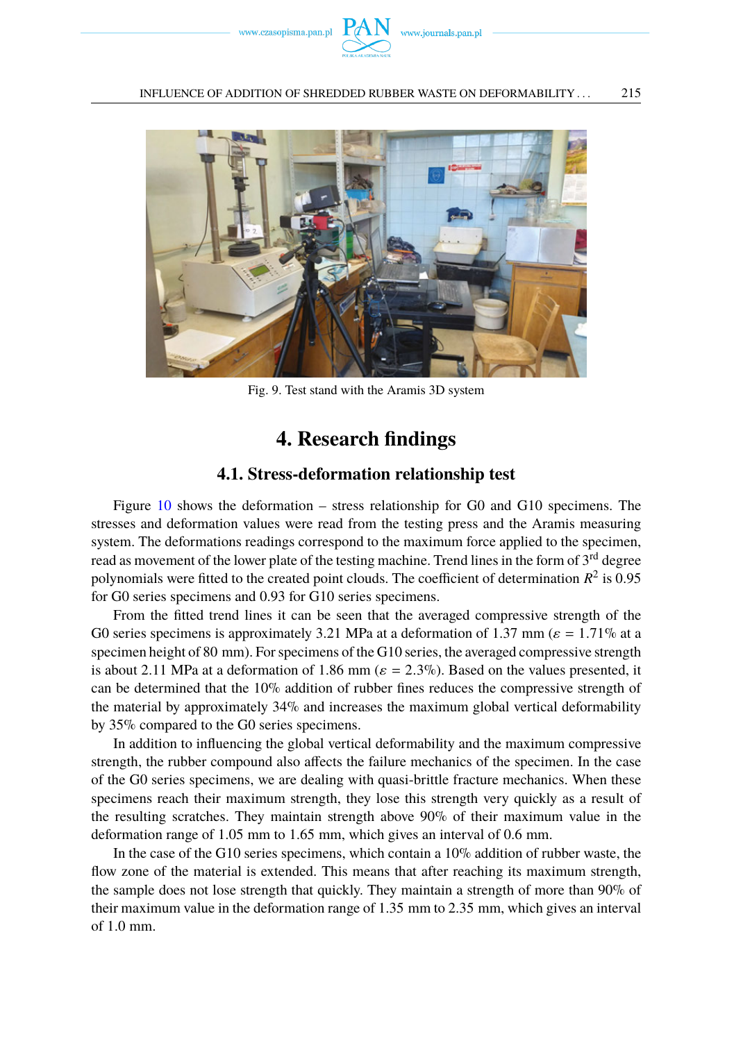

<span id="page-8-0"></span>

Fig. 9. Test stand with the Aramis 3D system

# **4. Research findings**

### **4.1. Stress-deformation relationship test**

Figure [10](#page-9-0) shows the deformation – stress relationship for G0 and G10 specimens. The stresses and deformation values were read from the testing press and the Aramis measuring system. The deformations readings correspond to the maximum force applied to the specimen, read as movement of the lower plate of the testing machine. Trend lines in the form of  $3^{\rm rd}$  degree polynomials were fitted to the created point clouds. The coefficient of determination  $R^2$  is 0.95 for G0 series specimens and 0.93 for G10 series specimens.

From the fitted trend lines it can be seen that the averaged compressive strength of the G0 series specimens is approximately 3.21 MPa at a deformation of 1.37 mm ( $\varepsilon = 1.71\%$  at a specimen height of 80 mm). For specimens of the G10 series, the averaged compressive strength is about 2.11 MPa at a deformation of 1.86 mm ( $\varepsilon = 2.3\%$ ). Based on the values presented, it can be determined that the 10% addition of rubber fines reduces the compressive strength of the material by approximately 34% and increases the maximum global vertical deformability by 35% compared to the G0 series specimens.

In addition to influencing the global vertical deformability and the maximum compressive strength, the rubber compound also affects the failure mechanics of the specimen. In the case of the G0 series specimens, we are dealing with quasi-brittle fracture mechanics. When these specimens reach their maximum strength, they lose this strength very quickly as a result of the resulting scratches. They maintain strength above 90% of their maximum value in the deformation range of 1.05 mm to 1.65 mm, which gives an interval of 0.6 mm.

In the case of the G10 series specimens, which contain a 10% addition of rubber waste, the flow zone of the material is extended. This means that after reaching its maximum strength, the sample does not lose strength that quickly. They maintain a strength of more than 90% of their maximum value in the deformation range of 1.35 mm to 2.35 mm, which gives an interval of  $1.0$  mm.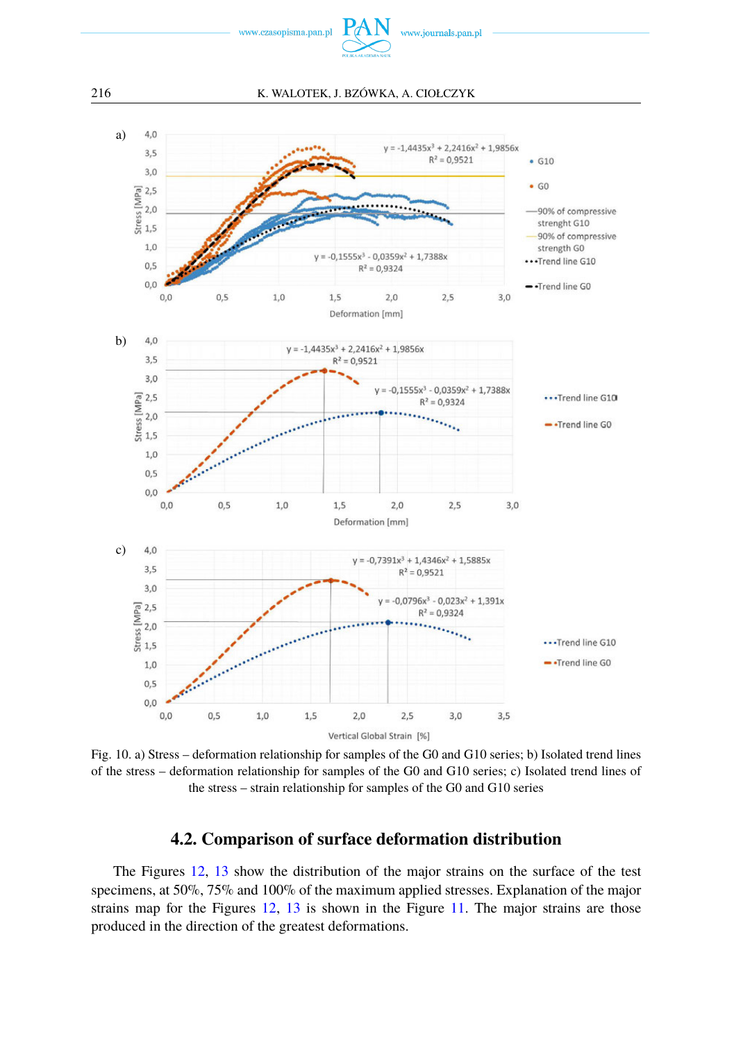

<span id="page-9-0"></span>

Fig. 10. a) Stress – deformation relationship for samples of the G0 and G10 series; b) Isolated trend lines of the stress – deformation relationship for samples of the G0 and G10 series; c) Isolated trend lines of the stress – strain relationship for samples of the G0 and G10 series

## **4.2. Comparison of surface deformation distribution**

The Figures [12,](#page-10-0) [13](#page-11-0) show the distribution of the major strains on the surface of the test specimens, at 50%, 75% and 100% of the maximum applied stresses. Explanation of the major strains map for the Figures [12,](#page-10-0) [13](#page-11-0) is shown in the Figure [11.](#page-10-0) The major strains are those produced in the direction of the greatest deformations.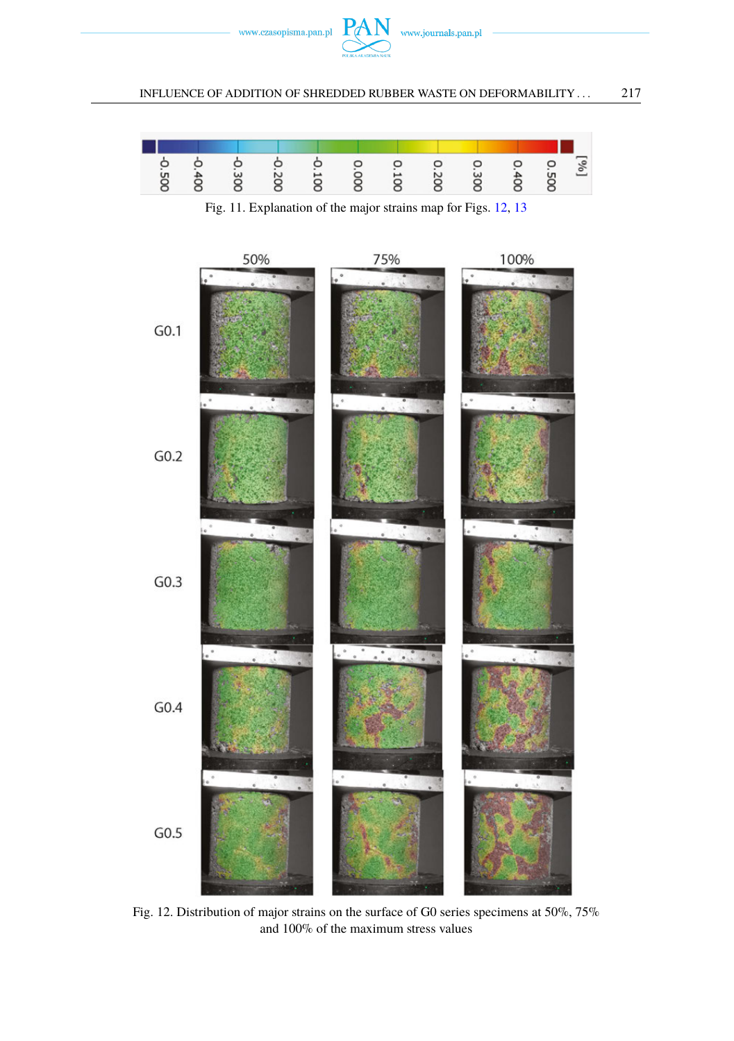

<span id="page-10-0"></span>



Fig. 11. Explanation of the major strains map for Figs. [12,](#page-10-0) [13](#page-11-0)

Fig. 12. Distribution of major strains on the surface of G0 series specimens at 50%, 75% and 100% of the maximum stress values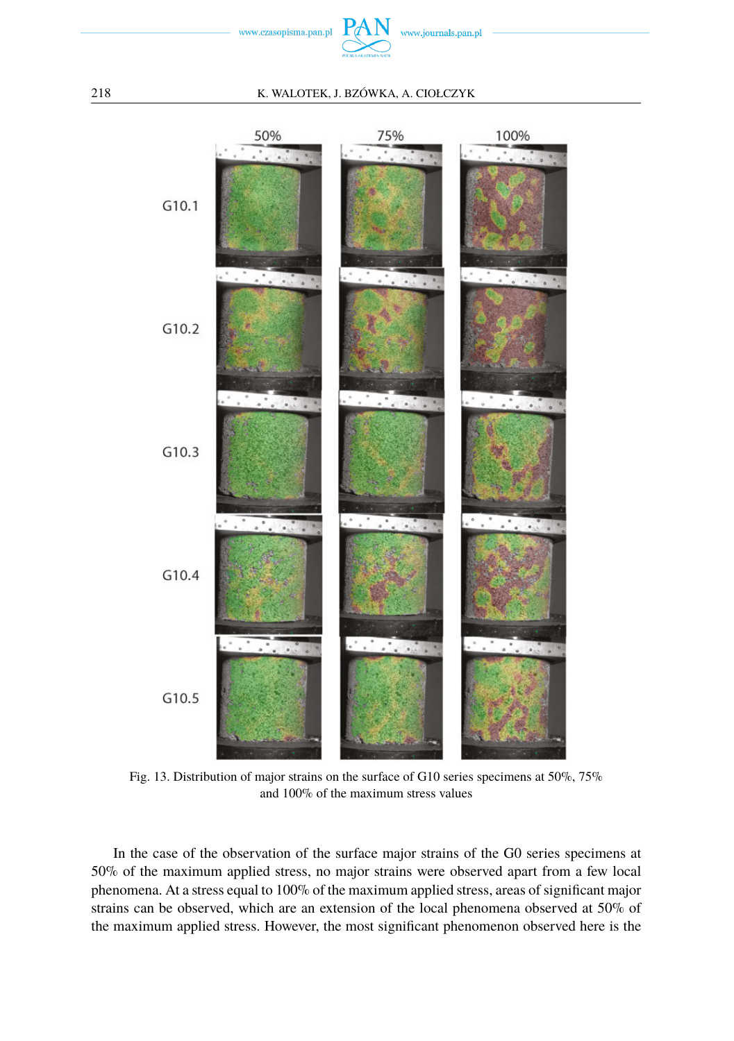

<span id="page-11-0"></span>

Fig. 13. Distribution of major strains on the surface of G10 series specimens at 50%, 75% and 100% of the maximum stress values

In the case of the observation of the surface major strains of the G0 series specimens at 50% of the maximum applied stress, no major strains were observed apart from a few local phenomena. At a stress equal to 100% of the maximum applied stress, areas of significant major strains can be observed, which are an extension of the local phenomena observed at 50% of the maximum applied stress. However, the most significant phenomenon observed here is the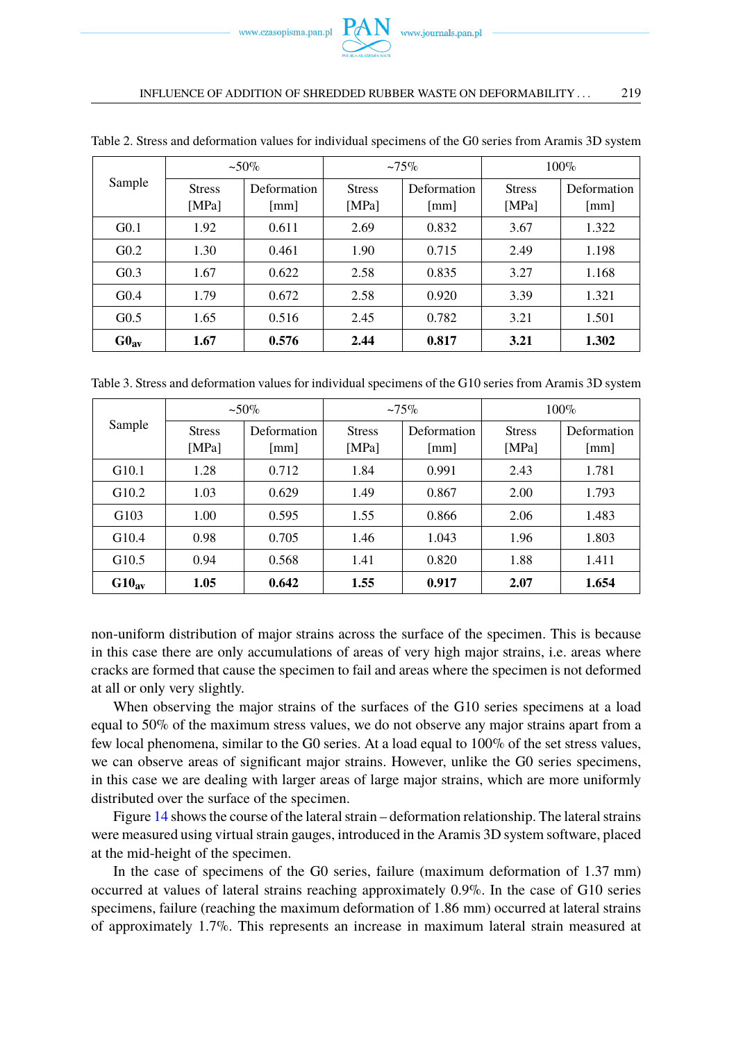

| Sample           | $~1.50\%$              |                     | $~1.75\%$              |                     | $100\%$                |                                     |
|------------------|------------------------|---------------------|------------------------|---------------------|------------------------|-------------------------------------|
|                  | <b>Stress</b><br>[MPa] | Deformation<br>[mm] | <b>Stress</b><br>[MPa] | Deformation<br>[mm] | <b>Stress</b><br>[MPa] | Deformation<br>$\lceil$ mm $\rceil$ |
| G <sub>0.1</sub> | 1.92                   | 0.611               | 2.69                   | 0.832               | 3.67                   | 1.322                               |
| G <sub>0.2</sub> | 1.30                   | 0.461               | 1.90                   | 0.715               | 2.49                   | 1.198                               |
| G <sub>0.3</sub> | 1.67                   | 0.622               | 2.58                   | 0.835               | 3.27                   | 1.168                               |
| G <sub>0.4</sub> | 1.79                   | 0.672               | 2.58                   | 0.920               | 3.39                   | 1.321                               |
| G <sub>0.5</sub> | 1.65                   | 0.516               | 2.45                   | 0.782               | 3.21                   | 1.501                               |
| $G0_{av}$        | 1.67                   | 0.576               | 2.44                   | 0.817               | 3.21                   | 1.302                               |

Table 2. Stress and deformation values for individual specimens of the G0 series from Aramis 3D system

Table 3. Stress and deformation values for individual specimens of the G10 series from Aramis 3D system

|                   | $~1.50\%$     |             | $~1.75\%$     |                      | 100%          |             |
|-------------------|---------------|-------------|---------------|----------------------|---------------|-------------|
| Sample            | <b>Stress</b> | Deformation | <b>Stress</b> | Deformation          | <b>Stress</b> | Deformation |
|                   | [MPa]         | [mm]        | [MPa]         | $\lceil$ mm $\rceil$ | [MPa]         | [mm]        |
| G10.1             | 1.28          | 0.712       | 1.84          | 0.991                | 2.43          | 1.781       |
| G <sub>10.2</sub> | 1.03          | 0.629       | 1.49          | 0.867                | 2.00          | 1.793       |
| G103              | 1.00          | 0.595       | 1.55          | 0.866                | 2.06          | 1.483       |
| G10.4             | 0.98          | 0.705       | 1.46          | 1.043                | 1.96          | 1.803       |
| G <sub>10.5</sub> | 0.94          | 0.568       | 1.41          | 0.820                | 1.88          | 1.411       |
| $G10_{av}$        | 1.05          | 0.642       | 1.55          | 0.917                | 2.07          | 1.654       |

non-uniform distribution of major strains across the surface of the specimen. This is because in this case there are only accumulations of areas of very high major strains, i.e. areas where cracks are formed that cause the specimen to fail and areas where the specimen is not deformed at all or only very slightly.

When observing the major strains of the surfaces of the G10 series specimens at a load equal to 50% of the maximum stress values, we do not observe any major strains apart from a few local phenomena, similar to the G0 series. At a load equal to 100% of the set stress values, we can observe areas of significant major strains. However, unlike the G0 series specimens, in this case we are dealing with larger areas of large major strains, which are more uniformly distributed over the surface of the specimen.

Figure [14](#page-13-0) shows the course of the lateral strain – deformation relationship. The lateral strains were measured using virtual strain gauges, introduced in the Aramis 3D system software, placed at the mid-height of the specimen.

In the case of specimens of the G0 series, failure (maximum deformation of 1.37 mm) occurred at values of lateral strains reaching approximately 0.9%. In the case of G10 series specimens, failure (reaching the maximum deformation of 1.86 mm) occurred at lateral strains of approximately 1.7%. This represents an increase in maximum lateral strain measured at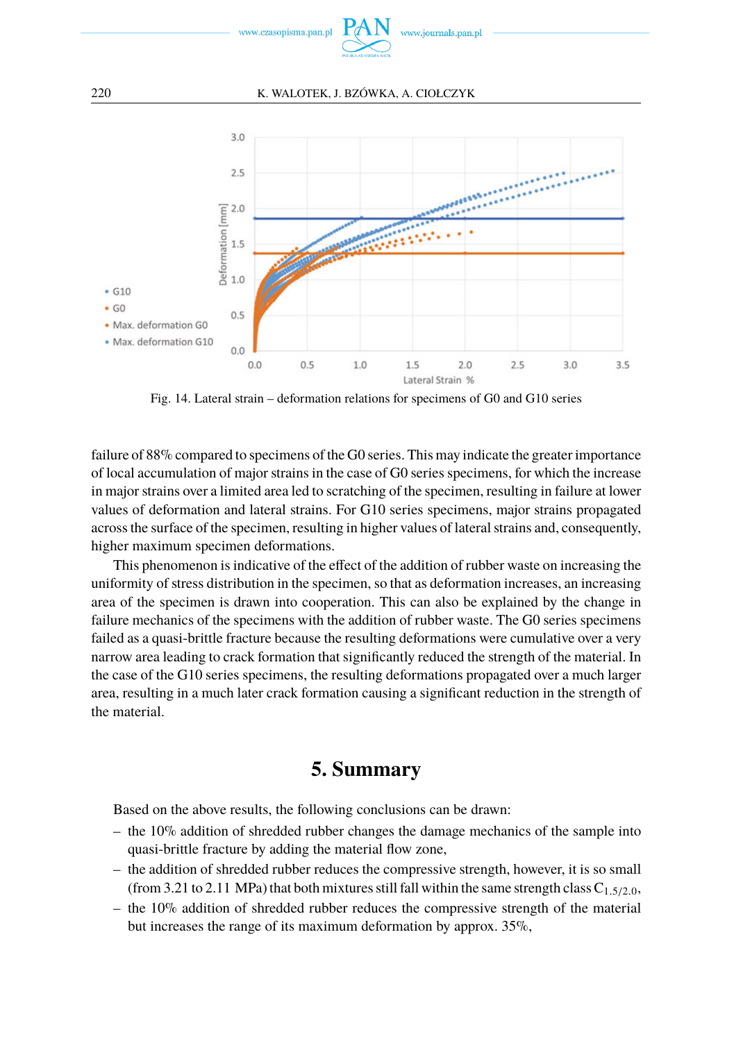

<span id="page-13-0"></span>

Fig. 14. Lateral strain – deformation relations for specimens of G0 and G10 series

failure of 88% compared to specimens of the G0 series. This may indicate the greater importance of local accumulation of major strains in the case of G0 series specimens, for which the increase in major strains over a limited area led to scratching of the specimen, resulting in failure at lower values of deformation and lateral strains. For G10 series specimens, major strains propagated across the surface of the specimen, resulting in higher values of lateral strains and, consequently, higher maximum specimen deformations.

This phenomenon is indicative of the effect of the addition of rubber waste on increasing the uniformity of stress distribution in the specimen, so that as deformation increases, an increasing area of the specimen is drawn into cooperation. This can also be explained by the change in failure mechanics of the specimens with the addition of rubber waste. The G0 series specimens failed as a quasi-brittle fracture because the resulting deformations were cumulative over a very narrow area leading to crack formation that significantly reduced the strength of the material. In the case of the G10 series specimens, the resulting deformations propagated over a much larger area, resulting in a much later crack formation causing a significant reduction in the strength of the material.

# **5. Summary**

Based on the above results, the following conclusions can be drawn:

- $-$  the 10% addition of shredded rubber changes the damage mechanics of the sample into quasi-brittle fracture by adding the material flow zone,
- the addition of shredded rubber reduces the compressive strength, however, it is so small (from 3.21 to 2.11 MPa) that both mixtures still fall within the same strength class  $C_{1.5/2.0}$ ,
- the 10% addition of shredded rubber reduces the compressive strength of the material but increases the range of its maximum deformation by approx. 35%,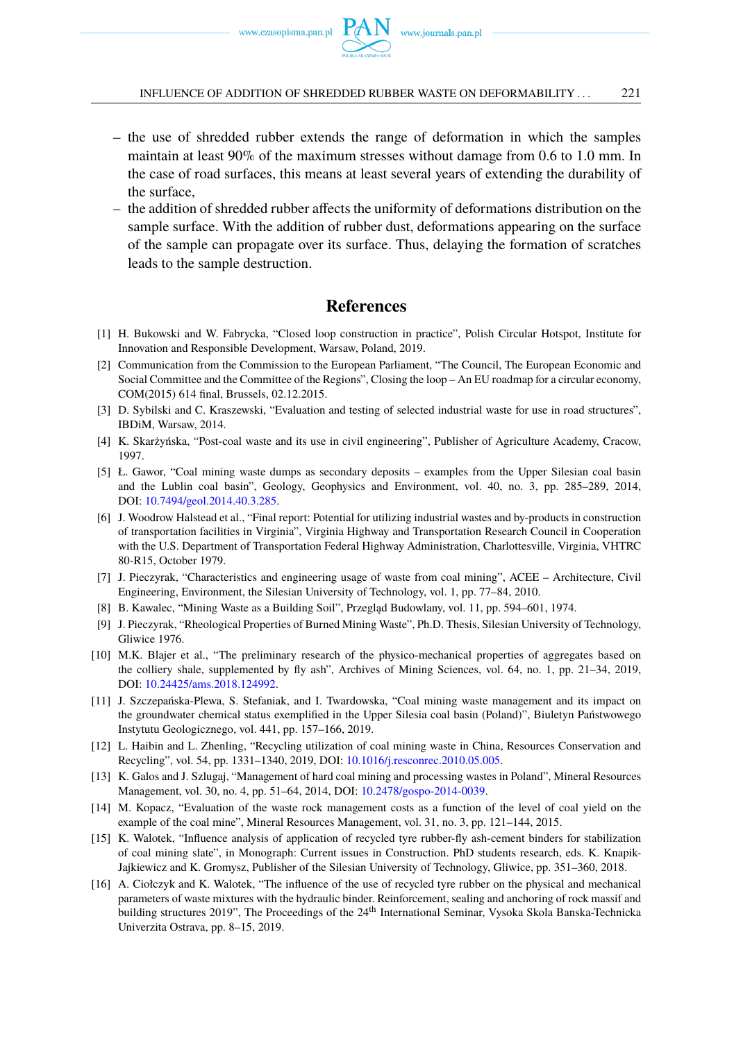www.czasopisma.pan.pl  $P_d$ 

- the use of shredded rubber extends the range of deformation in which the samples maintain at least 90% of the maximum stresses without damage from 0.6 to 1.0 mm. In the case of road surfaces, this means at least several years of extending the durability of the surface,
- the addition of shredded rubber affects the uniformity of deformations distribution on the sample surface. With the addition of rubber dust, deformations appearing on the surface of the sample can propagate over its surface. Thus, delaying the formation of scratches leads to the sample destruction.

### **References**

- <span id="page-14-0"></span>[1] H. Bukowski and W. Fabrycka, "Closed loop construction in practice", Polish Circular Hotspot, Institute for Innovation and Responsible Development, Warsaw, Poland, 2019.
- <span id="page-14-1"></span>[2] Communication from the Commission to the European Parliament, "The Council, The European Economic and Social Committee and the Committee of the Regions", Closing the loop – An EU roadmap for a circular economy, COM(2015) 614 final, Brussels, 02.12.2015.
- <span id="page-14-2"></span>[3] D. Sybilski and C. Kraszewski, "Evaluation and testing of selected industrial waste for use in road structures", IBDiM, Warsaw, 2014.
- [4] K. Skarżyńska, "Post-coal waste and its use in civil engineering", Publisher of Agriculture Academy, Cracow, 1997.
- [5] Ł. Gawor, "Coal mining waste dumps as secondary deposits examples from the Upper Silesian coal basin and the Lublin coal basin", Geology, Geophysics and Environment, vol. 40, no. 3, pp. 285–289, 2014, DOI: [10.7494/geol.2014.40.3.285.](https://doi.org/10.7494/geol.2014.40.3.285)
- [6] J. Woodrow Halstead et al., "Final report: Potential for utilizing industrial wastes and by-products in construction of transportation facilities in Virginia", Virginia Highway and Transportation Research Council in Cooperation with the U.S. Department of Transportation Federal Highway Administration, Charlottesville, Virginia, VHTRC 80-R15, October 1979.
- [7] J. Pieczyrak, "Characteristics and engineering usage of waste from coal mining", ACEE Architecture, Civil Engineering, Environment, the Silesian University of Technology, vol. 1, pp. 77–84, 2010.
- [8] B. Kawalec, "Mining Waste as a Building Soil", Przegląd Budowlany, vol. 11, pp. 594–601, 1974.
- [9] J. Pieczyrak, "Rheological Properties of Burned Mining Waste", Ph.D. Thesis, Silesian University of Technology, Gliwice 1976.
- [10] M.K. Blajer et al., "The preliminary research of the physico-mechanical properties of aggregates based on the colliery shale, supplemented by fly ash", Archives of Mining Sciences, vol. 64, no. 1, pp. 21–34, 2019, DOI: [10.24425/ams.2018.124992.](https://doi.org/10.24425/ams.2018.124992)
- [11] J. Szczepańska-Plewa, S. Stefaniak, and I. Twardowska, "Coal mining waste management and its impact on the groundwater chemical status exemplified in the Upper Silesia coal basin (Poland)", Biuletyn Państwowego Instytutu Geologicznego, vol. 441, pp. 157–166, 2019.
- [12] L. Haibin and L. Zhenling, "Recycling utilization of coal mining waste in China, Resources Conservation and Recycling", vol. 54, pp. 1331–1340, 2019, DOI: [10.1016/j.resconrec.2010.05.005.](https://doi.org/10.1016/j.resconrec.2010.05.005)
- [13] K. Galos and J. Szlugaj, "Management of hard coal mining and processing wastes in Poland", Mineral Resources Management, vol. 30, no. 4, pp. 51–64, 2014, DOI: [10.2478/gospo-2014-0039.](https://doi.org/10.2478/gospo-2014-0039)
- <span id="page-14-3"></span>[14] M. Kopacz, "Evaluation of the waste rock management costs as a function of the level of coal yield on the example of the coal mine", Mineral Resources Management, vol. 31, no. 3, pp. 121–144, 2015.
- <span id="page-14-4"></span>[15] K. Walotek, "Influence analysis of application of recycled tyre rubber-fly ash-cement binders for stabilization of coal mining slate", in Monograph: Current issues in Construction. PhD students research, eds. K. Knapik-Jajkiewicz and K. Gromysz, Publisher of the Silesian University of Technology, Gliwice, pp. 351–360, 2018.
- [16] A. Ciołczyk and K. Walotek, "The influence of the use of recycled tyre rubber on the physical and mechanical parameters of waste mixtures with the hydraulic binder. Reinforcement, sealing and anchoring of rock massif and building structures 2019", The Proceedings of the 24th International Seminar, Vysoka Skola Banska-Technicka Univerzita Ostrava, pp. 8–15, 2019.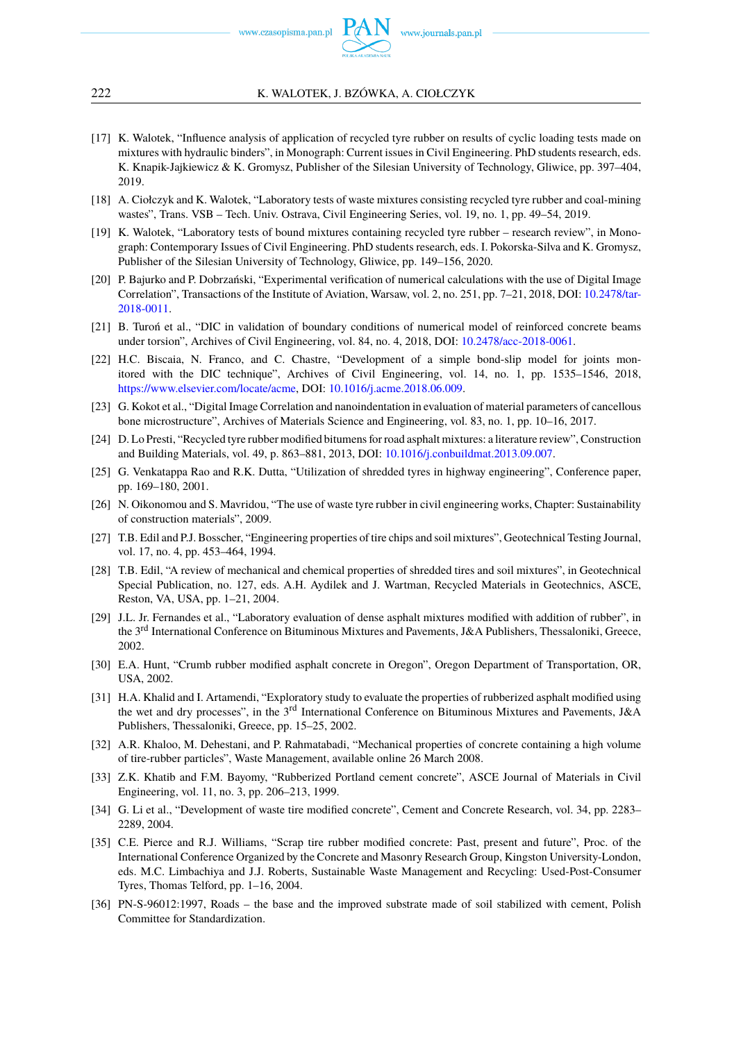www.czasopisma.pan.pl

#### 222 K. WALOTEK, J. BZÓWKA, A. CIOŁCZYK

- [17] K. Walotek, "Influence analysis of application of recycled tyre rubber on results of cyclic loading tests made on mixtures with hydraulic binders", in Monograph: Current issues in Civil Engineering. PhD students research, eds. K. Knapik-Jajkiewicz & K. Gromysz, Publisher of the Silesian University of Technology, Gliwice, pp. 397–404, 2019.
- [18] A. Ciołczyk and K. Walotek, "Laboratory tests of waste mixtures consisting recycled tyre rubber and coal-mining wastes", Trans. VSB – Tech. Univ. Ostrava, Civil Engineering Series, vol. 19, no. 1, pp. 49–54, 2019.
- <span id="page-15-0"></span>[19] K. Walotek, "Laboratory tests of bound mixtures containing recycled tyre rubber – research review", in Monograph: Contemporary Issues of Civil Engineering. PhD students research, eds. I. Pokorska-Silva and K. Gromysz, Publisher of the Silesian University of Technology, Gliwice, pp. 149–156, 2020.
- <span id="page-15-1"></span>[20] P. Bajurko and P. Dobrzański, "Experimental verification of numerical calculations with the use of Digital Image Correlation", Transactions of the Institute of Aviation, Warsaw, vol. 2, no. 251, pp. 7–21, 2018, DOI: [10.2478/tar-](https://doi.org/10.2478/tar-2018-0011)[2018-0011.](https://doi.org/10.2478/tar-2018-0011)
- <span id="page-15-2"></span>[21] B. Turoń et al., "DIC in validation of boundary conditions of numerical model of reinforced concrete beams under torsion", Archives of Civil Engineering, vol. 84, no. 4, 2018, DOI: [10.2478/acc-2018-0061.](https://doi.org/10.2478/acc-2018-0061)
- <span id="page-15-3"></span>[22] H.C. Biscaia, N. Franco, and C. Chastre, "Development of a simple bond-slip model for joints monitored with the DIC technique", Archives of Civil Engineering, vol. 14, no. 1, pp. 1535–1546, 2018, [https://www.elsevier.com/locate/acme,](https://www.elsevier.com/locate/acme) DOI: [10.1016/j.acme.2018.06.009.](https://doi.org/10.1016/j.acme.2018.06.009)
- <span id="page-15-4"></span>[23] G. Kokot et al., "Digital Image Correlation and nanoindentation in evaluation of material parameters of cancellous bone microstructure", Archives of Materials Science and Engineering, vol. 83, no. 1, pp. 10–16, 2017.
- <span id="page-15-5"></span>[24] D. Lo Presti, "Recycled tyre rubber modified bitumens for road asphalt mixtures: a literature review", Construction and Building Materials, vol. 49, p. 863–881, 2013, DOI: [10.1016/j.conbuildmat.2013.09.007.](https://doi.org/10.1016/j.conbuildmat.2013.09.007)
- [25] G. Venkatappa Rao and R.K. Dutta, "Utilization of shredded tyres in highway engineering", Conference paper, pp. 169–180, 2001.
- [26] N. Oikonomou and S. Mavridou, "The use of waste tyre rubber in civil engineering works, Chapter: Sustainability of construction materials", 2009.
- [27] T.B. Edil and P.J. Bosscher, "Engineering properties of tire chips and soil mixtures", Geotechnical Testing Journal, vol. 17, no. 4, pp. 453–464, 1994.
- [28] T.B. Edil, "A review of mechanical and chemical properties of shredded tires and soil mixtures", in Geotechnical Special Publication, no. 127, eds. A.H. Aydilek and J. Wartman, Recycled Materials in Geotechnics, ASCE, Reston, VA, USA, pp. 1–21, 2004.
- [29] J.L. Jr. Fernandes et al., "Laboratory evaluation of dense asphalt mixtures modified with addition of rubber", in the 3rd International Conference on Bituminous Mixtures and Pavements, J&A Publishers, Thessaloniki, Greece, 2002.
- [30] E.A. Hunt, "Crumb rubber modified asphalt concrete in Oregon", Oregon Department of Transportation, OR, USA, 2002.
- [31] H.A. Khalid and I. Artamendi, "Exploratory study to evaluate the properties of rubberized asphalt modified using the wet and dry processes", in the 3rd International Conference on Bituminous Mixtures and Pavements, J&A Publishers, Thessaloniki, Greece, pp. 15–25, 2002.
- [32] A.R. Khaloo, M. Dehestani, and P. Rahmatabadi, "Mechanical properties of concrete containing a high volume of tire-rubber particles", Waste Management, available online 26 March 2008.
- [33] Z.K. Khatib and F.M. Bayomy, "Rubberized Portland cement concrete", ASCE Journal of Materials in Civil Engineering, vol. 11, no. 3, pp. 206–213, 1999.
- [34] G. Li et al., "Development of waste tire modified concrete", Cement and Concrete Research, vol. 34, pp. 2283– 2289, 2004.
- <span id="page-15-6"></span>[35] C.E. Pierce and R.J. Williams, "Scrap tire rubber modified concrete: Past, present and future", Proc. of the International Conference Organized by the Concrete and Masonry Research Group, Kingston University-London, eds. M.C. Limbachiya and J.J. Roberts, Sustainable Waste Management and Recycling: Used-Post-Consumer Tyres, Thomas Telford, pp. 1–16, 2004.
- <span id="page-15-7"></span>[36] PN-S-96012:1997, Roads – the base and the improved substrate made of soil stabilized with cement, Polish Committee for Standardization.